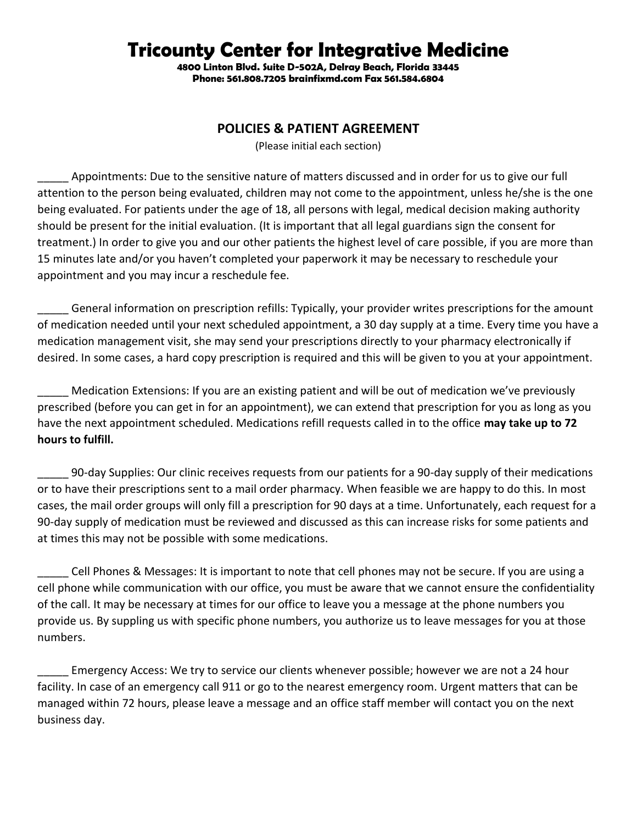## **Tricounty Center for Integrative Medicine**

**4800 Linton Blvd. Suite D-502A, Delray Beach, Florida 33445 Phone: 561.808.7205 brainfixmd.com Fax 561.584.6804** 

## **POLICIES & PATIENT AGREEMENT**

(Please initial each section)

Appointments: Due to the sensitive nature of matters discussed and in order for us to give our full attention to the person being evaluated, children may not come to the appointment, unless he/she is the one being evaluated. For patients under the age of 18, all persons with legal, medical decision making authority should be present for the initial evaluation. (It is important that all legal guardians sign the consent for treatment.) In order to give you and our other patients the highest level of care possible, if you are more than 15 minutes late and/or you haven't completed your paperwork it may be necessary to reschedule your appointment and you may incur a reschedule fee.

General information on prescription refills: Typically, your provider writes prescriptions for the amount of medication needed until your next scheduled appointment, a 30 day supply at a time. Every time you have a medication management visit, she may send your prescriptions directly to your pharmacy electronically if desired. In some cases, a hard copy prescription is required and this will be given to you at your appointment.

Medication Extensions: If you are an existing patient and will be out of medication we've previously prescribed (before you can get in for an appointment), we can extend that prescription for you as long as you have the next appointment scheduled. Medications refill requests called in to the office **may take up to 72 hours to fulfill.** 

\_\_\_\_\_ 90-day Supplies: Our clinic receives requests from our patients for a 90-day supply of their medications or to have their prescriptions sent to a mail order pharmacy. When feasible we are happy to do this. In most cases, the mail order groups will only fill a prescription for 90 days at a time. Unfortunately, each request for a 90-day supply of medication must be reviewed and discussed as this can increase risks for some patients and at times this may not be possible with some medications.

\_\_\_\_\_ Cell Phones & Messages: It is important to note that cell phones may not be secure. If you are using a cell phone while communication with our office, you must be aware that we cannot ensure the confidentiality of the call. It may be necessary at times for our office to leave you a message at the phone numbers you provide us. By suppling us with specific phone numbers, you authorize us to leave messages for you at those numbers.

Emergency Access: We try to service our clients whenever possible; however we are not a 24 hour facility. In case of an emergency call 911 or go to the nearest emergency room. Urgent matters that can be managed within 72 hours, please leave a message and an office staff member will contact you on the next business day.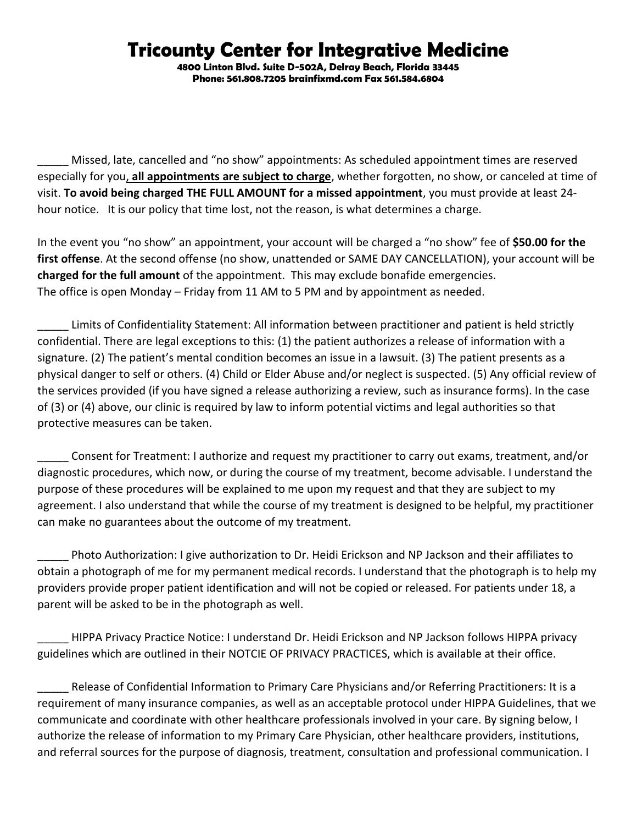## **Tricounty Center for Integrative Medicine**

**4800 Linton Blvd. Suite D-502A, Delray Beach, Florida 33445 Phone: 561.808.7205 brainfixmd.com Fax 561.584.6804** 

Missed, late, cancelled and "no show" appointments: As scheduled appointment times are reserved especially for you, **all appointments are subject to charge**, whether forgotten, no show, or canceled at time of visit. **To avoid being charged THE FULL AMOUNT for a missed appointment**, you must provide at least 24 hour notice. It is our policy that time lost, not the reason, is what determines a charge.

In the event you "no show" an appointment, your account will be charged a "no show" fee of **\$50.00 for the first offense**. At the second offense (no show, unattended or SAME DAY CANCELLATION), your account will be **charged for the full amount** of the appointment. This may exclude bonafide emergencies. The office is open Monday – Friday from 11 AM to 5 PM and by appointment as needed.

\_\_\_\_\_ Limits of Confidentiality Statement: All information between practitioner and patient is held strictly confidential. There are legal exceptions to this: (1) the patient authorizes a release of information with a signature. (2) The patient's mental condition becomes an issue in a lawsuit. (3) The patient presents as a physical danger to self or others. (4) Child or Elder Abuse and/or neglect is suspected. (5) Any official review of the services provided (if you have signed a release authorizing a review, such as insurance forms). In the case of (3) or (4) above, our clinic is required by law to inform potential victims and legal authorities so that protective measures can be taken.

\_\_\_\_\_ Consent for Treatment: I authorize and request my practitioner to carry out exams, treatment, and/or diagnostic procedures, which now, or during the course of my treatment, become advisable. I understand the purpose of these procedures will be explained to me upon my request and that they are subject to my agreement. I also understand that while the course of my treatment is designed to be helpful, my practitioner can make no guarantees about the outcome of my treatment.

Photo Authorization: I give authorization to Dr. Heidi Erickson and NP Jackson and their affiliates to obtain a photograph of me for my permanent medical records. I understand that the photograph is to help my providers provide proper patient identification and will not be copied or released. For patients under 18, a parent will be asked to be in the photograph as well.

HIPPA Privacy Practice Notice: I understand Dr. Heidi Erickson and NP Jackson follows HIPPA privacy guidelines which are outlined in their NOTCIE OF PRIVACY PRACTICES, which is available at their office.

Release of Confidential Information to Primary Care Physicians and/or Referring Practitioners: It is a requirement of many insurance companies, as well as an acceptable protocol under HIPPA Guidelines, that we communicate and coordinate with other healthcare professionals involved in your care. By signing below, I authorize the release of information to my Primary Care Physician, other healthcare providers, institutions, and referral sources for the purpose of diagnosis, treatment, consultation and professional communication. I